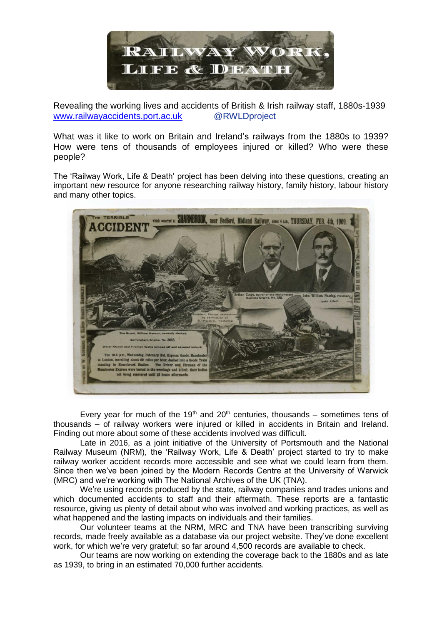

Revealing the working lives and accidents of British & Irish railway staff, 1880s-1939 [www.railwayaccidents.port.ac.uk](http://www.railwayaccidents.port.ac.uk/) @RWLDproject

What was it like to work on Britain and Ireland's railways from the 1880s to 1939? How were tens of thousands of employees injured or killed? Who were these people?

The 'Railway Work, Life & Death' project has been delving into these questions, creating an important new resource for anyone researching railway history, family history, labour history and many other topics.



Every year for much of the 19<sup>th</sup> and 20<sup>th</sup> centuries, thousands – sometimes tens of thousands – of railway workers were injured or killed in accidents in Britain and Ireland. Finding out more about some of these accidents involved was difficult.

Late in 2016, as a joint initiative of the University of Portsmouth and the National Railway Museum (NRM), the 'Railway Work, Life & Death' project started to try to make railway worker accident records more accessible and see what we could learn from them. Since then we've been joined by the Modern Records Centre at the University of Warwick (MRC) and we're working with The National Archives of the UK (TNA).

We're using records produced by the state, railway companies and trades unions and which documented accidents to staff and their aftermath. These reports are a fantastic resource, giving us plenty of detail about who was involved and working practices, as well as what happened and the lasting impacts on individuals and their families.

Our volunteer teams at the NRM, MRC and TNA have been transcribing surviving records, made freely available as a database via our project website. They've done excellent work, for which we're very grateful; so far around 4,500 records are available to check.

Our teams are now working on extending the coverage back to the 1880s and as late as 1939, to bring in an estimated 70,000 further accidents.